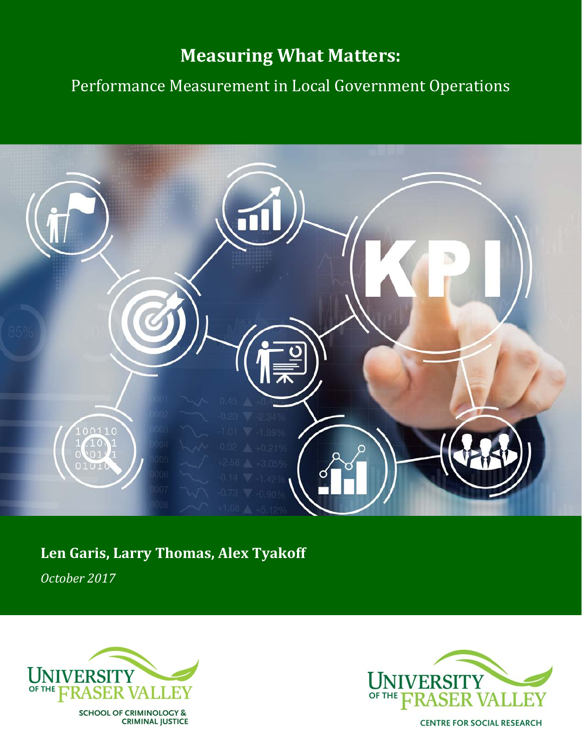# **Measuring What Matters:**

Performance Measurement in Local Government Operations



# **Len Garis, Larry Thomas, Alex Tyakoff**

*October 2017*



SCHOOL OF CRIMINOLOGY &<br>CRIMINAL JUSTICE



**CENTRE FOR SOCIAL RESEARCH**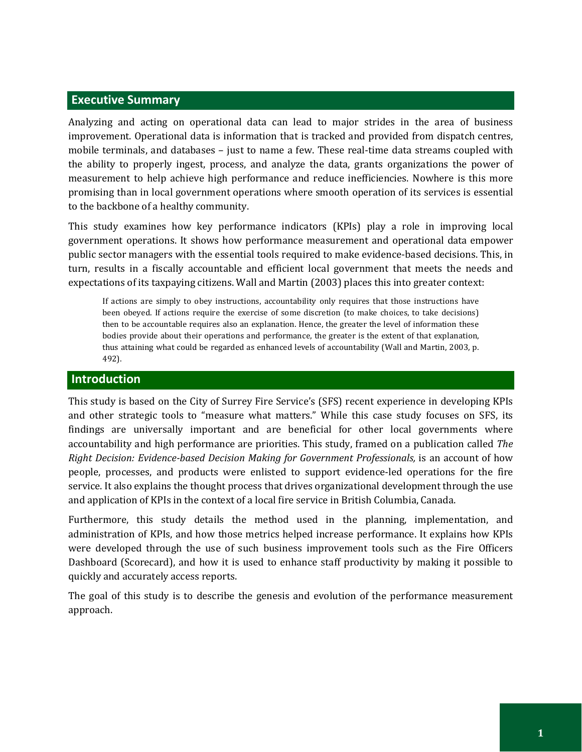## **Executive Summary**

Analyzing and acting on operational data can lead to major strides in the area of business improvement. Operational data is information that is tracked and provided from dispatch centres, mobile terminals, and databases – just to name a few. These real-time data streams coupled with the ability to properly ingest, process, and analyze the data, grants organizations the power of measurement to help achieve high performance and reduce inefficiencies. Nowhere is this more promising than in local government operations where smooth operation of its services is essential to the backbone of a healthy community.

This study examines how key performance indicators (KPIs) play a role in improving local government operations. It shows how performance measurement and operational data empower public sector managers with the essential tools required to make evidence-based decisions. This, in turn, results in a fiscally accountable and efficient local government that meets the needs and expectations of its taxpaying citizens. Wall and Martin (2003) places this into greater context:

If actions are simply to obey instructions, accountability only requires that those instructions have been obeyed. If actions require the exercise of some discretion (to make choices, to take decisions) then to be accountable requires also an explanation. Hence, the greater the level of information these bodies provide about their operations and performance, the greater is the extent of that explanation, thus attaining what could be regarded as enhanced levels of accountability (Wall and Martin, 2003, p. 492).

#### **Introduction**

This study is based on the City of Surrey Fire Service's (SFS) recent experience in developing KPIs and other strategic tools to "measure what matters." While this case study focuses on SFS, its findings are universally important and are beneficial for other local governments where accountability and high performance are priorities. This study, framed on a publication called *The Right Decision: Evidence-based Decision Making for Government Professionals,* is an account of how people, processes, and products were enlisted to support evidence-led operations for the fire service. It also explains the thought process that drives organizational development through the use and application of KPIs in the context of a local fire service in British Columbia, Canada.

Furthermore, this study details the method used in the planning, implementation, and administration of KPIs, and how those metrics helped increase performance. It explains how KPIs were developed through the use of such business improvement tools such as the Fire Officers Dashboard (Scorecard), and how it is used to enhance staff productivity by making it possible to quickly and accurately access reports.

The goal of this study is to describe the genesis and evolution of the performance measurement approach.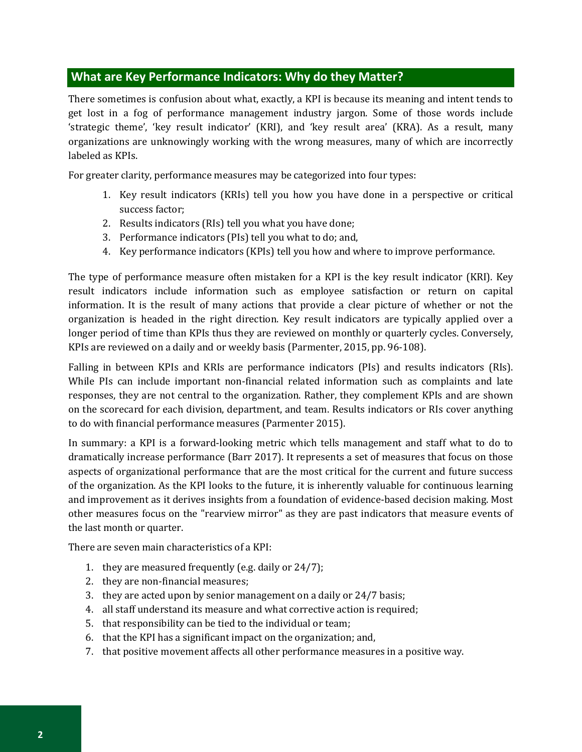## **What are Key Performance Indicators: Why do they Matter?**

There sometimes is confusion about what, exactly, a KPI is because its meaning and intent tends to get lost in a fog of performance management industry jargon. Some of those words include 'strategic theme', 'key result indicator' (KRI), and 'key result area' (KRA). As a result, many organizations are unknowingly working with the wrong measures, many of which are incorrectly labeled as KPIs.

For greater clarity, performance measures may be categorized into four types:

- 1. Key result indicators (KRIs) tell you how you have done in a perspective or critical success factor;
- 2. Results indicators (RIs) tell you what you have done;
- 3. Performance indicators (PIs) tell you what to do; and,
- 4. Key performance indicators (KPIs) tell you how and where to improve performance.

The type of performance measure often mistaken for a KPI is the key result indicator (KRI). Key result indicators include information such as employee satisfaction or return on capital information. It is the result of many actions that provide a clear picture of whether or not the organization is headed in the right direction. Key result indicators are typically applied over a longer period of time than KPIs thus they are reviewed on monthly or quarterly cycles. Conversely, KPIs are reviewed on a daily and or weekly basis (Parmenter, 2015, pp. 96-108).

Falling in between KPIs and KRIs are performance indicators (PIs) and results indicators (RIs). While PIs can include important non-financial related information such as complaints and late responses, they are not central to the organization. Rather, they complement KPIs and are shown on the scorecard for each division, department, and team. Results indicators or RIs cover anything to do with financial performance measures (Parmenter 2015).

In summary: a KPI is a forward-looking metric which tells management and staff what to do to dramatically increase performance (Barr 2017). It represents a set of measures that focus on those aspects of organizational performance that are the most critical for the current and future success of the organization. As the KPI looks to the future, it is inherently valuable for continuous learning and improvement as it derives insights from a foundation of evidence-based decision making. Most other measures focus on the "rearview mirror" as they are past indicators that measure events of the last month or quarter.

There are seven main characteristics of a KPI:

- 1. they are measured frequently (e.g. daily or 24/7);
- 2. they are non-financial measures;
- 3. they are acted upon by senior management on a daily or 24/7 basis;
- 4. all staff understand its measure and what corrective action is required;
- 5. that responsibility can be tied to the individual or team;
- 6. that the KPI has a significant impact on the organization; and,
- 7. that positive movement affects all other performance measures in a positive way.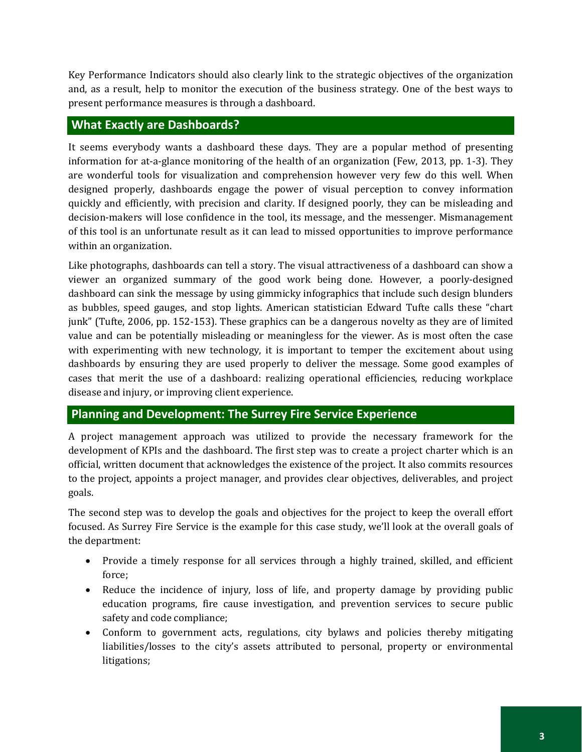Key Performance Indicators should also clearly link to the strategic objectives of the organization and, as a result, help to monitor the execution of the business strategy. One of the best ways to present performance measures is through a dashboard.

## **What Exactly are Dashboards?**

It seems everybody wants a dashboard these days. They are a popular method of presenting information for at-a-glance monitoring of the health of an organization (Few, 2013, pp. 1-3). They are wonderful tools for visualization and comprehension however very few do this well. When designed properly, dashboards engage the power of visual perception to convey information quickly and efficiently, with precision and clarity. If designed poorly, they can be misleading and decision-makers will lose confidence in the tool, its message, and the messenger. Mismanagement of this tool is an unfortunate result as it can lead to missed opportunities to improve performance within an organization.

Like photographs, dashboards can tell a story. The visual attractiveness of a dashboard can show a viewer an organized summary of the good work being done. However, a poorly-designed dashboard can sink the message by using gimmicky infographics that include such design blunders as bubbles, speed gauges, and stop lights. American statistician Edward Tufte calls these "chart junk" (Tufte, 2006, pp. 152-153). These graphics can be a dangerous novelty as they are of limited value and can be potentially misleading or meaningless for the viewer. As is most often the case with experimenting with new technology, it is important to temper the excitement about using dashboards by ensuring they are used properly to deliver the message. Some good examples of cases that merit the use of a dashboard: realizing operational efficiencies, reducing workplace disease and injury, or improving client experience.

# **Planning and Development: The Surrey Fire Service Experience**

A project management approach was utilized to provide the necessary framework for the development of KPIs and the dashboard. The first step was to create a project charter which is an official, written document that acknowledges the existence of the project. It also commits resources to the project, appoints a project manager, and provides clear objectives, deliverables, and project goals.

The second step was to develop the goals and objectives for the project to keep the overall effort focused. As Surrey Fire Service is the example for this case study, we'll look at the overall goals of the department:

- Provide a timely response for all services through a highly trained, skilled, and efficient force;
- Reduce the incidence of injury, loss of life, and property damage by providing public education programs, fire cause investigation, and prevention services to secure public safety and code compliance;
- Conform to government acts, regulations, city bylaws and policies thereby mitigating liabilities/losses to the city's assets attributed to personal, property or environmental litigations;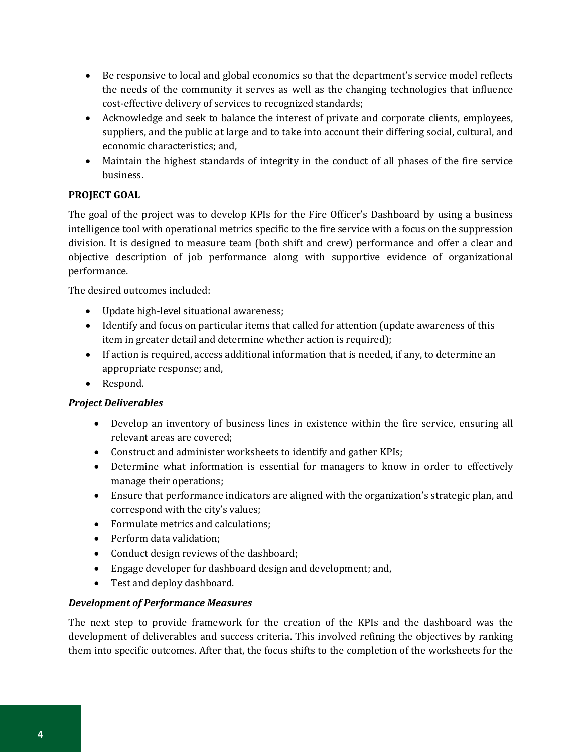- Be responsive to local and global economics so that the department's service model reflects the needs of the community it serves as well as the changing technologies that influence cost-effective delivery of services to recognized standards;
- Acknowledge and seek to balance the interest of private and corporate clients, employees, suppliers, and the public at large and to take into account their differing social, cultural, and economic characteristics; and,
- Maintain the highest standards of integrity in the conduct of all phases of the fire service business.

## **PROJECT GOAL**

The goal of the project was to develop KPIs for the Fire Officer's Dashboard by using a business intelligence tool with operational metrics specific to the fire service with a focus on the suppression division. It is designed to measure team (both shift and crew) performance and offer a clear and objective description of job performance along with supportive evidence of organizational performance.

The desired outcomes included:

- Update high-level situational awareness;
- Identify and focus on particular items that called for attention (update awareness of this item in greater detail and determine whether action is required);
- If action is required, access additional information that is needed, if any, to determine an appropriate response; and,
- Respond.

#### *Project Deliverables*

- Develop an inventory of business lines in existence within the fire service, ensuring all relevant areas are covered;
- Construct and administer worksheets to identify and gather KPIs;
- Determine what information is essential for managers to know in order to effectively manage their operations;
- Ensure that performance indicators are aligned with the organization's strategic plan, and correspond with the city's values;
- Formulate metrics and calculations:
- Perform data validation;
- Conduct design reviews of the dashboard;
- Engage developer for dashboard design and development; and,
- Test and deploy dashboard.

#### *Development of Performance Measures*

The next step to provide framework for the creation of the KPIs and the dashboard was the development of deliverables and success criteria. This involved refining the objectives by ranking them into specific outcomes. After that, the focus shifts to the completion of the worksheets for the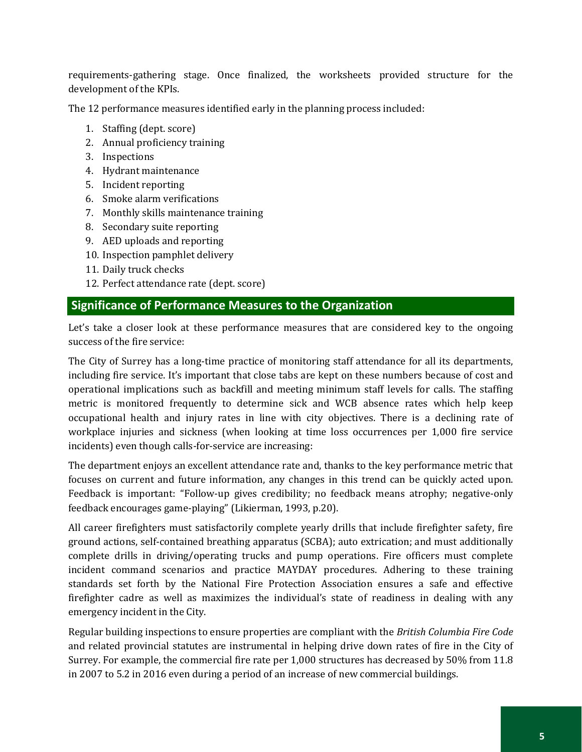requirements-gathering stage. Once finalized, the worksheets provided structure for the development of the KPIs.

The 12 performance measures identified early in the planning process included:

- 1. Staffing (dept. score)
- 2. Annual proficiency training
- 3. Inspections
- 4. Hydrant maintenance
- 5. Incident reporting
- 6. Smoke alarm verifications
- 7. Monthly skills maintenance training
- 8. Secondary suite reporting
- 9. AED uploads and reporting
- 10. Inspection pamphlet delivery
- 11. Daily truck checks
- 12. Perfect attendance rate (dept. score)

## **Significance of Performance Measures to the Organization**

Let's take a closer look at these performance measures that are considered key to the ongoing success of the fire service:

The City of Surrey has a long-time practice of monitoring staff attendance for all its departments, including fire service. It's important that close tabs are kept on these numbers because of cost and operational implications such as backfill and meeting minimum staff levels for calls. The staffing metric is monitored frequently to determine sick and WCB absence rates which help keep occupational health and injury rates in line with city objectives. There is a declining rate of workplace injuries and sickness (when looking at time loss occurrences per 1,000 fire service incidents) even though calls-for-service are increasing:

The department enjoys an excellent attendance rate and, thanks to the key performance metric that focuses on current and future information, any changes in this trend can be quickly acted upon. Feedback is important: "Follow-up gives credibility; no feedback means atrophy; negative-only feedback encourages game-playing" (Likierman, 1993, p.20).

All career firefighters must satisfactorily complete yearly drills that include firefighter safety, fire ground actions, self-contained breathing apparatus (SCBA); auto extrication; and must additionally complete drills in driving/operating trucks and pump operations. Fire officers must complete incident command scenarios and practice MAYDAY procedures. Adhering to these training standards set forth by the National Fire Protection Association ensures a safe and effective firefighter cadre as well as maximizes the individual's state of readiness in dealing with any emergency incident in the City.

Regular building inspections to ensure properties are compliant with the *British Columbia Fire Code* and related provincial statutes are instrumental in helping drive down rates of fire in the City of Surrey. For example, the commercial fire rate per 1,000 structures has decreased by 50% from 11.8 in 2007 to 5.2 in 2016 even during a period of an increase of new commercial buildings.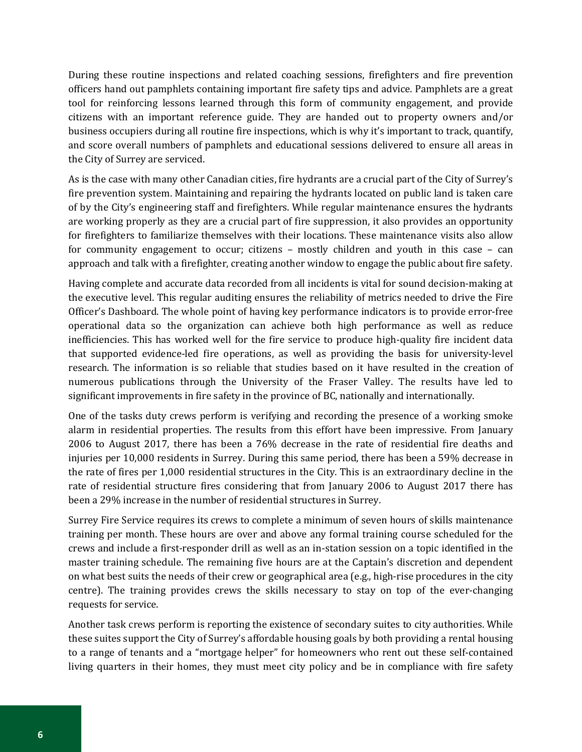During these routine inspections and related coaching sessions, firefighters and fire prevention officers hand out pamphlets containing important fire safety tips and advice. Pamphlets are a great tool for reinforcing lessons learned through this form of community engagement, and provide citizens with an important reference guide. They are handed out to property owners and/or business occupiers during all routine fire inspections, which is why it's important to track, quantify, and score overall numbers of pamphlets and educational sessions delivered to ensure all areas in the City of Surrey are serviced.

As is the case with many other Canadian cities, fire hydrants are a crucial part of the City of Surrey's fire prevention system. Maintaining and repairing the hydrants located on public land is taken care of by the City's engineering staff and firefighters. While regular maintenance ensures the hydrants are working properly as they are a crucial part of fire suppression, it also provides an opportunity for firefighters to familiarize themselves with their locations. These maintenance visits also allow for community engagement to occur; citizens – mostly children and youth in this case – can approach and talk with a firefighter, creating another window to engage the public about fire safety.

Having complete and accurate data recorded from all incidents is vital for sound decision-making at the executive level. This regular auditing ensures the reliability of metrics needed to drive the Fire Officer's Dashboard. The whole point of having key performance indicators is to provide error-free operational data so the organization can achieve both high performance as well as reduce inefficiencies. This has worked well for the fire service to produce high-quality fire incident data that supported evidence-led fire operations, as well as providing the basis for university-level research. The information is so reliable that studies based on it have resulted in the creation of numerous publications through the University of the Fraser Valley. The results have led to significant improvements in fire safety in the province of BC, nationally and internationally.

One of the tasks duty crews perform is verifying and recording the presence of a working smoke alarm in residential properties. The results from this effort have been impressive. From January 2006 to August 2017, there has been a 76% decrease in the rate of residential fire deaths and injuries per 10,000 residents in Surrey. During this same period, there has been a 59% decrease in the rate of fires per 1,000 residential structures in the City. This is an extraordinary decline in the rate of residential structure fires considering that from January 2006 to August 2017 there has been a 29% increase in the number of residential structures in Surrey.

Surrey Fire Service requires its crews to complete a minimum of seven hours of skills maintenance training per month. These hours are over and above any formal training course scheduled for the crews and include a first-responder drill as well as an in-station session on a topic identified in the master training schedule. The remaining five hours are at the Captain's discretion and dependent on what best suits the needs of their crew or geographical area (e.g., high-rise procedures in the city centre). The training provides crews the skills necessary to stay on top of the ever-changing requests for service.

Another task crews perform is reporting the existence of secondary suites to city authorities. While these suites support the City of Surrey's affordable housing goals by both providing a rental housing to a range of tenants and a "mortgage helper" for homeowners who rent out these self-contained living quarters in their homes, they must meet city policy and be in compliance with fire safety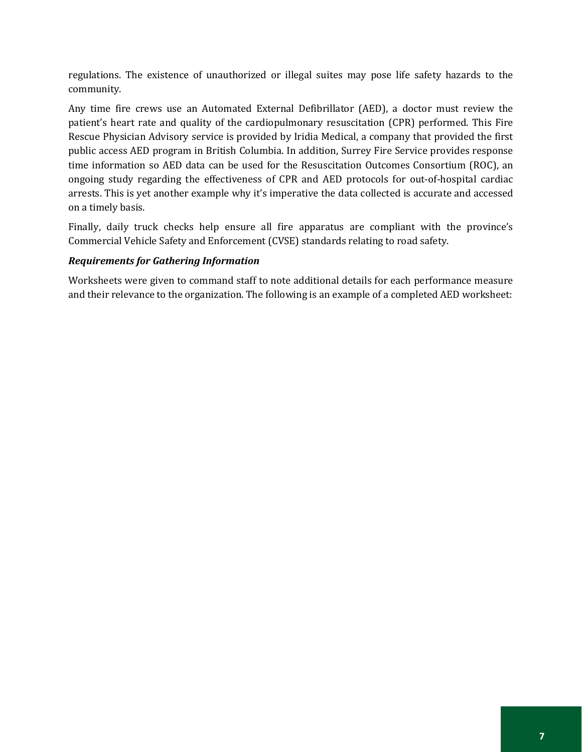regulations. The existence of unauthorized or illegal suites may pose life safety hazards to the community.

Any time fire crews use an Automated External Defibrillator (AED), a doctor must review the patient's heart rate and quality of the cardiopulmonary resuscitation (CPR) performed. This Fire Rescue Physician Advisory service is provided by Iridia Medical, a company that provided the first public access AED program in British Columbia. In addition, Surrey Fire Service provides response time information so AED data can be used for the Resuscitation Outcomes Consortium (ROC), an ongoing study regarding the effectiveness of CPR and AED protocols for out-of-hospital cardiac arrests. This is yet another example why it's imperative the data collected is accurate and accessed on a timely basis.

Finally, daily truck checks help ensure all fire apparatus are compliant with the province's Commercial Vehicle Safety and Enforcement (CVSE) standards relating to road safety.

#### *Requirements for Gathering Information*

Worksheets were given to command staff to note additional details for each performance measure and their relevance to the organization. The following is an example of a completed AED worksheet: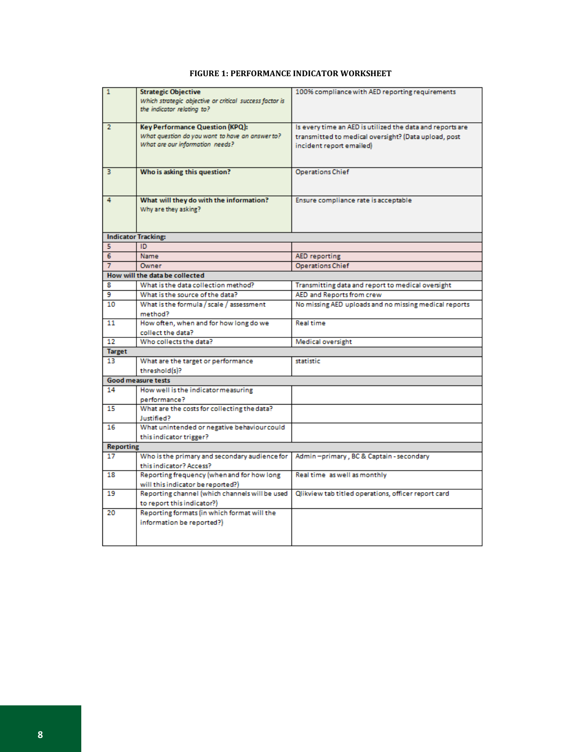#### **FIGURE 1: PERFORMANCE INDICATOR WORKSHEET**

| 1                | <b>Strategic Objective</b>                              | 100% compliance with AED reporting requirements           |
|------------------|---------------------------------------------------------|-----------------------------------------------------------|
|                  | Which strategic objective or critical success factor is |                                                           |
|                  | the indicator relating to?                              |                                                           |
|                  |                                                         |                                                           |
| $\overline{2}$   | Key Performance Question (KPQ):                         | Is every time an AED is utilized the data and reports are |
|                  | What question do you want to have an answer to?         | transmitted to medical oversight? (Data upload, post      |
|                  | What are our information needs?                         | incident report emailed)                                  |
|                  |                                                         |                                                           |
|                  |                                                         |                                                           |
| 3.               | Who is asking this question?                            | <b>Operations Chief</b>                                   |
|                  |                                                         |                                                           |
|                  |                                                         |                                                           |
| 4                | What will they do with the information?                 | Ensure compliance rate is acceptable                      |
|                  | Why are they asking?                                    |                                                           |
|                  |                                                         |                                                           |
|                  |                                                         |                                                           |
|                  | <b>Indicator Tracking:</b>                              |                                                           |
| 5.               | ID                                                      |                                                           |
| 6                | Name                                                    | <b>AED</b> reporting                                      |
| 7                | Owner                                                   | <b>Operations Chief</b>                                   |
|                  | How will the data be collected                          |                                                           |
| я                | What is the data collection method?                     | Transmitting data and report to medical oversight         |
| 9                | What is the source of the data?                         | AED and Reports from crew                                 |
| 10               | What is the formula / scale / assessment                | No missing AED uploads and no missing medical reports     |
|                  | method?                                                 |                                                           |
| 11               | How often, when and for how long do we                  | <b>Real time</b>                                          |
|                  | collect the data?                                       |                                                           |
| 12               | Who collects the data?                                  | Medical oversight                                         |
| <b>Target</b>    |                                                         |                                                           |
| 13               | What are the target or performance                      | statistic                                                 |
|                  | threshold(s)?                                           |                                                           |
|                  | <b>Good measure tests</b>                               |                                                           |
| 14               | How well is the indicator measuring                     |                                                           |
|                  | performance?                                            |                                                           |
| 15               | What are the costs for collecting the data?             |                                                           |
|                  | Justified?                                              |                                                           |
| 16               | What unintended or negative behaviour could             |                                                           |
|                  | this indicator trigger?                                 |                                                           |
| <b>Reporting</b> |                                                         |                                                           |
| 17               | Who is the primary and secondary audience for           | Admin-primary, BC & Captain-secondary                     |
|                  | this indicator? Access?                                 |                                                           |
| 18               | Reporting frequency (when and for how long              | Real time as well as monthly                              |
|                  | will this indicator be reported?)                       |                                                           |
| 19               | Reporting channel (which channels will be used          | Qlikview tab titled operations, officer report card       |
|                  |                                                         |                                                           |
|                  | to report this indicator?)                              |                                                           |
| 20               | Reporting formats (in which format will the             |                                                           |
|                  | information be reported?)                               |                                                           |
|                  |                                                         |                                                           |
|                  |                                                         |                                                           |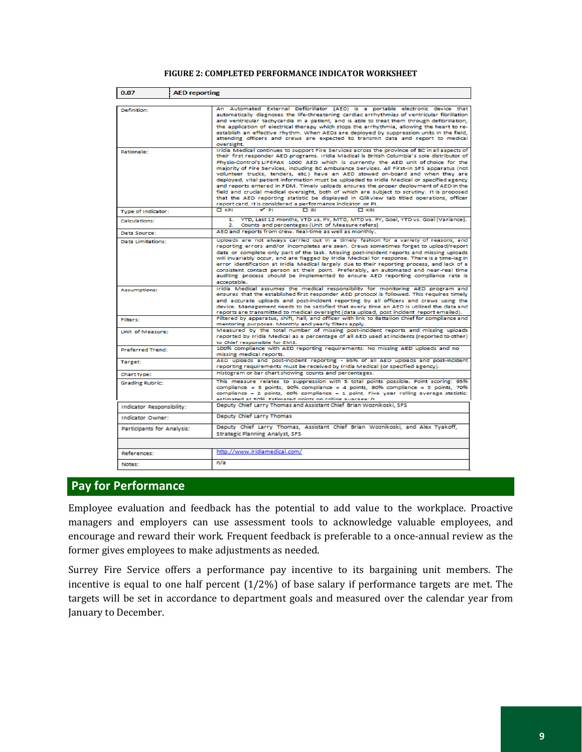#### **FIGURE 2: COMPLETED PERFORMANCE INDICATOR WORKSHEET**

| 0.07                       | <b>AED reporting</b> |                                                                                                                                                                                                                                                                                                                                                                                                                                                                                                                                                                                                                                                                                                                                                                                                                                                                                                                         |
|----------------------------|----------------------|-------------------------------------------------------------------------------------------------------------------------------------------------------------------------------------------------------------------------------------------------------------------------------------------------------------------------------------------------------------------------------------------------------------------------------------------------------------------------------------------------------------------------------------------------------------------------------------------------------------------------------------------------------------------------------------------------------------------------------------------------------------------------------------------------------------------------------------------------------------------------------------------------------------------------|
|                            |                      |                                                                                                                                                                                                                                                                                                                                                                                                                                                                                                                                                                                                                                                                                                                                                                                                                                                                                                                         |
| Definition:                |                      | An Automated External Defibrillator (AED) is a portable electronic device that<br>automatically diagnoses the life-threatening cardiac arrhythmias of ventricular fibrillation<br>and ventricular tachycardia in a patient, and is able to treat them through defibrillation,<br>the application of electrical therapy which stops the arrhythmia, allowing the heart to re-<br>establish an effective rhythm. When AEDs are deployed by suppression units in the field,<br>attending officers and crews are expected to transmit data and report to medical<br>oversight.                                                                                                                                                                                                                                                                                                                                              |
| Rationale:                 |                      | Iridia Medical continues to support Fire Services across the province of BC in all aspects of<br>their first responder AED programs. Iridia Medical is British Columbia's sole distributor of<br>Physio-Control's LIFEPAK 1000 AED which is currently the AED unit of choice for the<br>majority of Fire Services, including BC Ambulance Services. All First-In SFS apparatus (not<br>volunteer trucks, tenders, etc.) have an AED stowed on-board and when they are<br>deployed, vital patient information must be uploaded to Iridia Medical or specified agency<br>and reports entered in FDM. Timely uploads ensures the proper deployment of AED in the<br>field and crucial medical oversight, both of which are subject to scrutiny. It is proposed<br>that the AED reporting statistic be displayed in Qlikview tab titled operations, officer<br>report card. It is considered a performance indicator or PI. |
| Type of Indicator:         |                      | $\Box$ KPI<br>$\sim$ PI<br>口田<br>$\Box$ KRI                                                                                                                                                                                                                                                                                                                                                                                                                                                                                                                                                                                                                                                                                                                                                                                                                                                                             |
| Calculations:              |                      | 1. YTD, Last 12 months, YTD vs. PY, MTD, MTD vs. PY, Goal, YTD vs. Goal (Variance).<br>Counts and percentages (Unit of Measure refers)<br>$\mathbf{z}$                                                                                                                                                                                                                                                                                                                                                                                                                                                                                                                                                                                                                                                                                                                                                                  |
| Data Source:               |                      | AED and reports from crew. Real-time as well as monthly.                                                                                                                                                                                                                                                                                                                                                                                                                                                                                                                                                                                                                                                                                                                                                                                                                                                                |
| Data Limitations:          |                      | Uploads are not always carried out in a timely fashion for a variety of reasons, and<br>reporting errors and/or incompletes are seen. Crews sometimes forget to upload/report<br>data or complete only part of the task. Missing post-incident reports and missing uploads<br>will invariably occur, and are flagged by Iridia Medical for response. There is a time-lag in<br>error identification at Iridia Medical largely due to their reporting process, and lack of a<br>consistent contact person at their point. Preferably, an automated and near-real time<br>auditing process should be implemented to ensure AED reporting compliance rate is<br>acceptable.                                                                                                                                                                                                                                                |
| <b>Assumptions:</b>        |                      | Iridia Medical assumes the medical responsibility for monitoring AED program and<br>ensures that the established first responder AED protocol is followed. This requires timely<br>and accurate uploads and post-incident reporting by all officers and crews using the<br>device. Management needs to be satisfied that every time an AED is utilized the data and<br>reports are transmitted to medical oversight (data upload, post incident report emailed).                                                                                                                                                                                                                                                                                                                                                                                                                                                        |
| Filters:                   |                      | Filtered by apparatus, shift, hall, and officer with link to Battalion Chief for compliance and<br>mentoring purposes. Monthly and yearly filters apply.                                                                                                                                                                                                                                                                                                                                                                                                                                                                                                                                                                                                                                                                                                                                                                |
| Unit of Measure:           |                      | Measured by the total number of missing post-incident reports and missing uploads<br>reported by Iridia Medical as a percentage of all AED used at incidents (reported to other)<br>to Chief responsible for EMS.                                                                                                                                                                                                                                                                                                                                                                                                                                                                                                                                                                                                                                                                                                       |
| Preferred Trend:           |                      | 100% compliance with AED reporting requirements. No missing AED uploads and no<br>missing medical reports.                                                                                                                                                                                                                                                                                                                                                                                                                                                                                                                                                                                                                                                                                                                                                                                                              |
| Target:                    |                      | AED uploads and post-incident reporting - 95% of all AED uploads and post-incident<br>reporting requirements must be received by Iridia Medical (or specified agency).                                                                                                                                                                                                                                                                                                                                                                                                                                                                                                                                                                                                                                                                                                                                                  |
| Chart type:                |                      | Histogram or bar chart showing counts and percentages.                                                                                                                                                                                                                                                                                                                                                                                                                                                                                                                                                                                                                                                                                                                                                                                                                                                                  |
| <b>Grading Rubric:</b>     |                      | This measure relates to suppression with 5 total points possible. Point scoring: 95%<br>compliance = 5 points, 90% compliance = 4 points, 80% compliance = 3 points, 70%<br>compliance = $2$ points, 60% compliance = $1$ point. Five year rolling average statistic:<br>estimated at 50% Estimated points on rolling average: 0                                                                                                                                                                                                                                                                                                                                                                                                                                                                                                                                                                                        |
| Indicator Responsibility:  |                      | Deputy Chief Larry Thomas and Assistant Chief Brian Woznikoski, SFS                                                                                                                                                                                                                                                                                                                                                                                                                                                                                                                                                                                                                                                                                                                                                                                                                                                     |
| Indicator Owner:           |                      | Deputy Chief Larry Thomas                                                                                                                                                                                                                                                                                                                                                                                                                                                                                                                                                                                                                                                                                                                                                                                                                                                                                               |
| Participants for Analysis: |                      | Deputy Chief Larry Thomas, Assistant Chief Brian Woznikoski, and Alex Tyakoff,<br><b>Strategic Planning Analyst, SFS</b>                                                                                                                                                                                                                                                                                                                                                                                                                                                                                                                                                                                                                                                                                                                                                                                                |
|                            |                      |                                                                                                                                                                                                                                                                                                                                                                                                                                                                                                                                                                                                                                                                                                                                                                                                                                                                                                                         |
| References:                |                      | http://www.iridiamedical.com/                                                                                                                                                                                                                                                                                                                                                                                                                                                                                                                                                                                                                                                                                                                                                                                                                                                                                           |
| Notes:                     |                      | n/a                                                                                                                                                                                                                                                                                                                                                                                                                                                                                                                                                                                                                                                                                                                                                                                                                                                                                                                     |

# **Pay for Performance**

Employee evaluation and feedback has the potential to add value to the workplace. Proactive managers and employers can use assessment tools to acknowledge valuable employees, and encourage and reward their work. Frequent feedback is preferable to a once-annual review as the former gives employees to make adjustments as needed.

Surrey Fire Service offers a performance pay incentive to its bargaining unit members. The incentive is equal to one half percent (1/2%) of base salary if performance targets are met. The targets will be set in accordance to department goals and measured over the calendar year from January to December.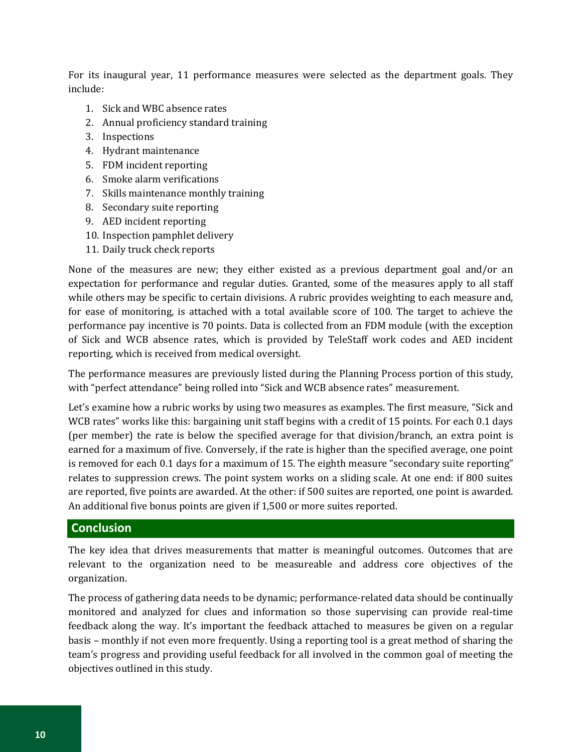For its inaugural year, 11 performance measures were selected as the department goals. They include:

- 1. Sick and WBC absence rates
- 2. Annual proficiency standard training
- 3. Inspections
- 4. Hydrant maintenance
- 5. FDM incident reporting
- 6. Smoke alarm verifications
- 7. Skills maintenance monthly training
- 8. Secondary suite reporting
- 9. AED incident reporting
- 10. Inspection pamphlet delivery
- 11. Daily truck check reports

None of the measures are new; they either existed as a previous department goal and/or an expectation for performance and regular duties. Granted, some of the measures apply to all staff while others may be specific to certain divisions. A rubric provides weighting to each measure and, for ease of monitoring, is attached with a total available score of 100. The target to achieve the performance pay incentive is 70 points. Data is collected from an FDM module (with the exception of Sick and WCB absence rates, which is provided by TeleStaff work codes and AED incident reporting, which is received from medical oversight.

The performance measures are previously listed during the Planning Process portion of this study, with "perfect attendance" being rolled into "Sick and WCB absence rates" measurement.

Let's examine how a rubric works by using two measures as examples. The first measure, "Sick and WCB rates" works like this: bargaining unit staff begins with a credit of 15 points. For each 0.1 days (per member) the rate is below the specified average for that division/branch, an extra point is earned for a maximum of five. Conversely, if the rate is higher than the specified average, one point is removed for each 0.1 days for a maximum of 15. The eighth measure "secondary suite reporting" relates to suppression crews. The point system works on a sliding scale. At one end: if 800 suites are reported, five points are awarded. At the other: if 500 suites are reported, one point is awarded. An additional five bonus points are given if 1,500 or more suites reported.

#### **Conclusion**

The key idea that drives measurements that matter is meaningful outcomes. Outcomes that are relevant to the organization need to be measureable and address core objectives of the organization.

The process of gathering data needs to be dynamic; performance-related data should be continually monitored and analyzed for clues and information so those supervising can provide real-time feedback along the way. It's important the feedback attached to measures be given on a regular basis – monthly if not even more frequently. Using a reporting tool is a great method of sharing the team's progress and providing useful feedback for all involved in the common goal of meeting the objectives outlined in this study.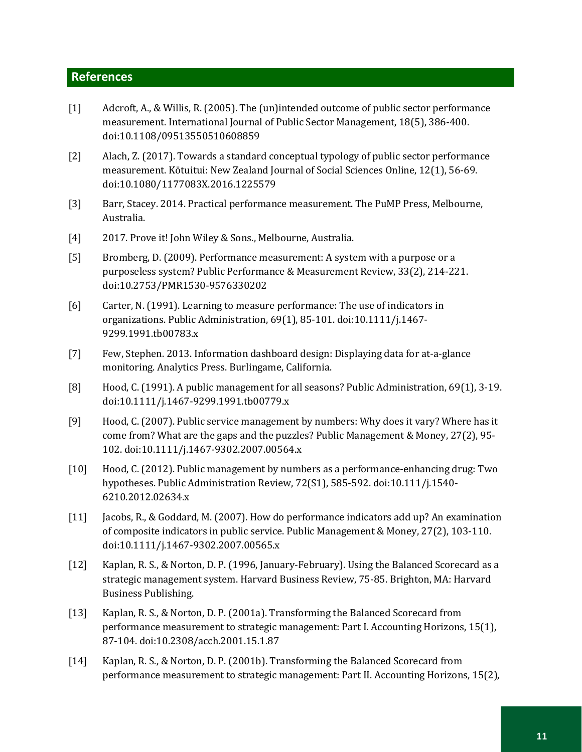## **References**

- [1] Adcroft, A., & Willis, R. (2005). The (un)intended outcome of public sector performance measurement. International Journal of Public Sector Management, 18(5), 386-400. doi:10.1108/09513550510608859
- [2] Alach, Z. (2017). Towards a standard conceptual typology of public sector performance measurement. Kōtuitui: New Zealand Journal of Social Sciences Online, 12(1), 56-69. doi:10.1080/1177083X.2016.1225579
- [3] Barr, Stacey. 2014. Practical performance measurement. The PuMP Press, Melbourne, Australia.
- [4] 2017. Prove it! John Wiley & Sons., Melbourne, Australia.
- [5] Bromberg, D. (2009). Performance measurement: A system with a purpose or a purposeless system? Public Performance & Measurement Review, 33(2), 214-221. doi:10.2753/PMR1530-9576330202
- [6] Carter, N. (1991). Learning to measure performance: The use of indicators in organizations. Public Administration, 69(1), 85-101. doi:10.1111/j.1467- 9299.1991.tb00783.x
- [7] Few, Stephen. 2013. Information dashboard design: Displaying data for at-a-glance monitoring. Analytics Press. Burlingame, California.
- [8] Hood, C. (1991). A public management for all seasons? Public Administration, 69(1), 3-19. doi:10.1111/j.1467-9299.1991.tb00779.x
- [9] Hood, C. (2007). Public service management by numbers: Why does it vary? Where has it come from? What are the gaps and the puzzles? Public Management & Money, 27(2), 95- 102. doi:10.1111/j.1467-9302.2007.00564.x
- [10] Hood, C. (2012). Public management by numbers as a performance-enhancing drug: Two hypotheses. Public Administration Review, 72(S1), 585-592. doi:10.111/j.1540- 6210.2012.02634.x
- [11] Jacobs, R., & Goddard, M. (2007). How do performance indicators add up? An examination of composite indicators in public service. Public Management & Money, 27(2), 103-110. doi:10.1111/j.1467-9302.2007.00565.x
- [12] Kaplan, R. S., & Norton, D. P. (1996, January-February). Using the Balanced Scorecard as a strategic management system. Harvard Business Review, 75-85. Brighton, MA: Harvard Business Publishing.
- [13] Kaplan, R. S., & Norton, D. P. (2001a). Transforming the Balanced Scorecard from performance measurement to strategic management: Part I. Accounting Horizons, 15(1), 87-104. doi:10.2308/acch.2001.15.1.87
- [14] Kaplan, R. S., & Norton, D. P. (2001b). Transforming the Balanced Scorecard from performance measurement to strategic management: Part II. Accounting Horizons, 15(2),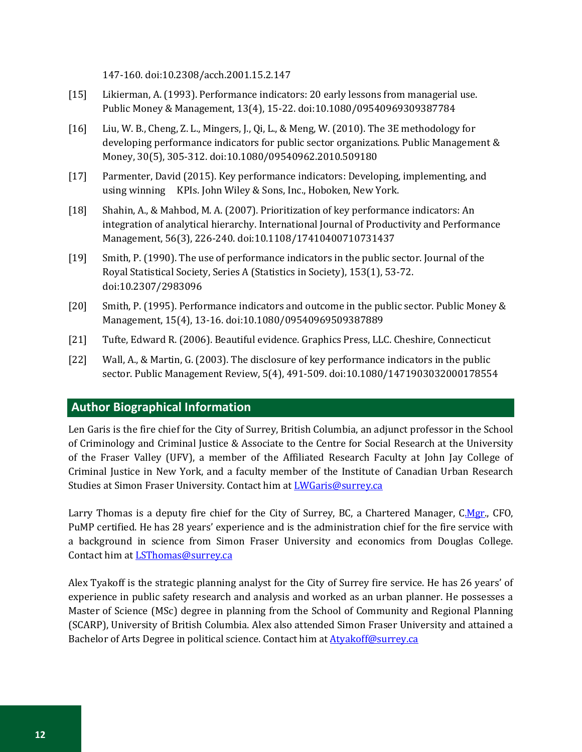147-160. doi:10.2308/acch.2001.15.2.147

- [15] Likierman, A. (1993). Performance indicators: 20 early lessons from managerial use. Public Money & Management, 13(4), 15-22. doi:10.1080/09540969309387784
- [16] Liu, W. B., Cheng, Z. L., Mingers, J., Qi, L., & Meng, W. (2010). The 3E methodology for developing performance indicators for public sector organizations. Public Management & Money, 30(5), 305-312. doi:10.1080/09540962.2010.509180
- [17] Parmenter, David (2015). Key performance indicators: Developing, implementing, and using winning KPIs. John Wiley & Sons, Inc., Hoboken, New York.
- [18] Shahin, A., & Mahbod, M. A. (2007). Prioritization of key performance indicators: An integration of analytical hierarchy. International Journal of Productivity and Performance Management, 56(3), 226-240. doi:10.1108/17410400710731437
- [19] Smith, P. (1990). The use of performance indicators in the public sector. Journal of the Royal Statistical Society, Series A (Statistics in Society), 153(1), 53-72. doi:10.2307/2983096
- [20] Smith, P. (1995). Performance indicators and outcome in the public sector. Public Money & Management, 15(4), 13-16. doi:10.1080/09540969509387889
- [21] Tufte, Edward R. (2006). Beautiful evidence. Graphics Press, LLC. Cheshire, Connecticut
- [22] Wall, A., & Martin, G. (2003). The disclosure of key performance indicators in the public sector. Public Management Review, 5(4), 491-509. doi:10.1080/1471903032000178554

## **Author Biographical Information**

Len Garis is the fire chief for the City of Surrey, British Columbia, an adjunct professor in the School of Criminology and Criminal Justice & Associate to the Centre for Social Research at the University of the Fraser Valley (UFV), a member of the Affiliated Research Faculty at John Jay College of Criminal Justice in New York, and a faculty member of the Institute of Canadian Urban Research Studies at Simon Fraser University. Contact him at *LWGaris@surrey.ca* 

Larry Thomas is a deputy fire chief for the City of Surrey, BC, a Chartered Manager, [C.Mgr.](http://p.mgr/), CFO, PuMP certified. He has 28 years' experience and is the administration chief for the fire service with a background in science from Simon Fraser University and economics from Douglas College. Contact him at **LSThomas@surrey.ca** 

Alex Tyakoff is the strategic planning analyst for the City of Surrey fire service. He has 26 years' of experience in public safety research and analysis and worked as an urban planner. He possesses a Master of Science (MSc) degree in planning from the School of Community and Regional Planning (SCARP), University of British Columbia. Alex also attended Simon Fraser University and attained a Bachelor of Arts Degree in political science. Contact him a[t Atyakoff@surrey.ca](mailto:Atyakoff@surrey.ca)